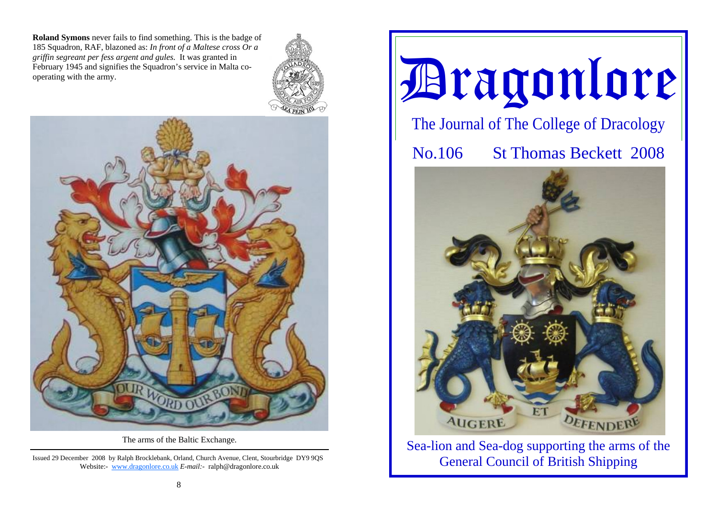**Roland Symons** never fails to find something. This is the badge of 185 Squadron, RAF, blazoned as: *In front of a Maltese cross Or a griffin segreant per fess argent and gules.* It was granted in February 1945 and signifies the Squadron's service in Malta cooperating with the army.





The arms of the Baltic Exchange.

Issued 29 December 2008 by Ralph Brocklebank, Orland, Church Avenue, Clent, Stourbridge DY9 9QS Website:- www.dragonlore.co.uk *E-mail:-* ralph@dragonlore.co.uk



Sea-lion and Sea-dog supporting the arms of the General Council of British Shipping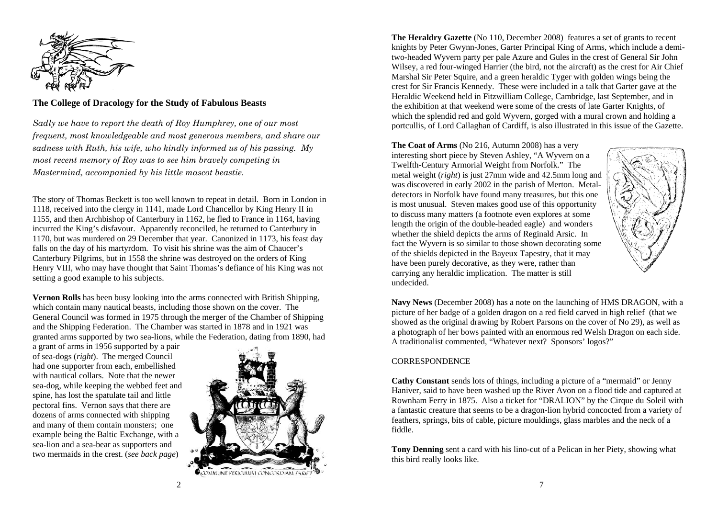

# **The College of Dracology for the Study of Fabulous Beasts**

*Sadly we have to report the death of Roy Humphrey, one of our most frequent, most knowledgeable and most generous members, and share our sadness with Ruth, his wife, who kindly informed us of his passing. My most recent memory of Roy was to see him bravely competing in Mastermind, accompanied by his little mascot beastie.* 

The story of Thomas Beckett is too well known to repeat in detail. Born in London in 1118, received into the clergy in 1141, made Lord Chancellor by King Henry II in 1155, and then Archbishop of Canterbury in 1162, he fled to France in 1164, having incurred the King's disfavour. Apparently reconciled, he returned to Canterbury in 1170, but was murdered on 29 December that year. Canonized in 1173, his feast day falls on the day of his martyrdom. To visit his shrine was the aim of Chaucer's Canterbury Pilgrims, but in 1558 the shrine was destroyed on the orders of King Henry VIII, who may have thought that Saint Thomas's defiance of his King was not setting a good example to his subjects.

**Vernon Rolls** has been busy looking into the arms connected with British Shipping, which contain many nautical beasts, including those shown on the cover. The General Council was formed in 1975 through the merger of the Chamber of Shipping and the Shipping Federation. The Chamber was started in 1878 and in 1921 was granted arms supported by two sea-lions, while the Federation, dating from 1890, had

a grant of arms in 1956 supported by a pair of sea-dogs (*right*). The merged Council had one supporter from each, embellished with nautical collars. Note that the newer sea-dog, while keeping the webbed feet and spine, has lost the spatulate tail and little pectoral fins. Vernon says that there are dozens of arms connected with shipping and many of them contain monsters; one example being the Baltic Exchange, with a sea-lion and a sea-bear as supporters and two mermaids in the crest. (*see back page*)



**The Heraldry Gazette** (No 110, December 2008) features a set of grants to recent knights by Peter Gwynn-Jones, Garter Principal King of Arms, which include a demitwo-headed Wyvern party per pale Azure and Gules in the crest of General Sir John Wilsey, a red four-winged Harrier (the bird, not the aircraft) as the crest for Air Chief Marshal Sir Peter Squire, and a green heraldic Tyger with golden wings being the crest for Sir Francis Kennedy. These were included in a talk that Garter gave at the Heraldic Weekend held in Fitzwilliam College, Cambridge, last September, and in the exhibition at that weekend were some of the crests of late Garter Knights, of which the splendid red and gold Wyvern, gorged with a mural crown and holding a portcullis, of Lord Callaghan of Cardiff, is also illustrated in this issue of the Gazette.

**The Coat of Arms** (No 216, Autumn 2008) has a very interesting short piece by Steven Ashley, "A Wyvern on a Twelfth-Century Armorial Weight from Norfolk." The metal weight (*right*) is just 27mm wide and 42.5mm long and was discovered in early 2002 in the parish of Merton. Metaldetectors in Norfolk have found many treasures, but this one is most unusual. Steven makes good use of this opportunity to discuss many matters (a footnote even explores at some length the origin of the double-headed eagle) and wonders whether the shield depicts the arms of Reginald Arsic. In fact the Wyvern is so similar to those shown decorating some of the shields depicted in the Bayeux Tapestry, that it may have been purely decorative, as they were, rather than carrying any heraldic implication. The matter is still undecided.



**Navy News** (December 2008) has a note on the launching of HMS DRAGON, with a picture of her badge of a golden dragon on a red field carved in high relief (that we showed as the original drawing by Robert Parsons on the cover of No 29), as well as a photograph of her bows painted with an enormous red Welsh Dragon on each side. A traditionalist commented, "Whatever next? Sponsors' logos?"

## **CORRESPONDENCE**

**Cathy Constant** sends lots of things, including a picture of a "mermaid" or Jenny Haniver, said to have been washed up the River Avon on a flood tide and captured at Rownham Ferry in 1875. Also a ticket for "DRALION" by the Cirque du Soleil with a fantastic creature that seems to be a dragon-lion hybrid concocted from a variety of feathers, springs, bits of cable, picture mouldings, glass marbles and the neck of a fiddle.

**Tony Denning** sent a card with his lino-cut of a Pelican in her Piety, showing what this bird really looks like.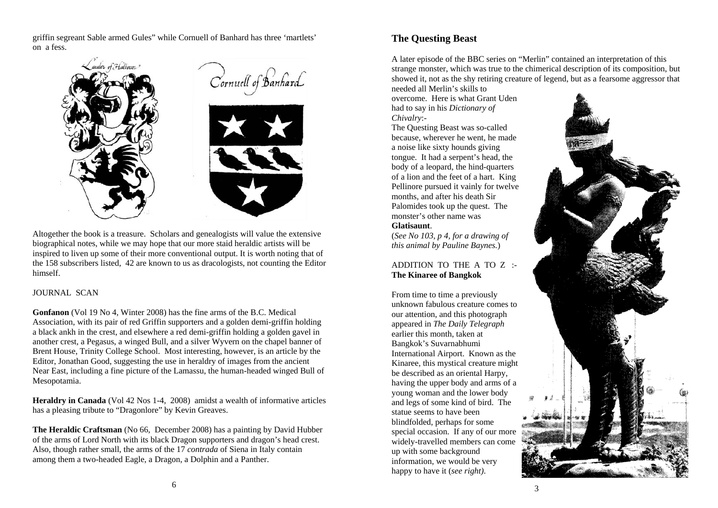griffin segreant Sable armed Gules" while Cornuell of Banhard has three 'martlets' on a fess.



Altogether the book is a treasure. Scholars and genealogists will value the extensive biographical notes, while we may hope that our more staid heraldic artists will be inspired to liven up some of their more conventional output. It is worth noting that of the 158 subscribers listed, 42 are known to us as dracologists, not counting the Editor himself.

### JOURNAL SCAN

**Gonfanon** (Vol 19 No 4, Winter 2008) has the fine arms of the B.C. Medical Association, with its pair of red Griffin supporters and a golden demi-griffin holding a black ankh in the crest, and elsewhere a red demi-griffin holding a golden gavel in another crest, a Pegasus, a winged Bull, and a silver Wyvern on the chapel banner of Brent House, Trinity College School. Most interesting, however, is an article by the Editor, Jonathan Good, suggesting the use in heraldry of images from the ancient Near East, including a fine picture of the Lamassu, the human-headed winged Bull of Mesopotamia.

**Heraldry in Canada** (Vol 42 Nos 1-4, 2008) amidst a wealth of informative articles has a pleasing tribute to "Dragonlore" by Kevin Greaves.

**The Heraldic Craftsman** (No 66, December 2008) has a painting by David Hubber of the arms of Lord North with its black Dragon supporters and dragon's head crest. Also, though rather small, the arms of the 17 *contrada* of Siena in Italy contain among them a two-headed Eagle, a Dragon, a Dolphin and a Panther.

# **The Questing Beast**

A later episode of the BBC series on "Merlin" contained an interpretation of this strange monster, which was true to the chimerical description of its composition, but showed it, not as the shy retiring creature of legend, but as a fearsome aggressor that

needed all Merlin's skills to overcome. Here is what Grant Uden had to say in his *Dictionary of Chivalry*:-

The Questing Beast was so-called because, wherever he went, he made a noise like sixty hounds giving tongue. It had a serpent's head, the body of a leopard, the hind-quarters of a lion and the feet of a hart. King Pellinore pursued it vainly for twelve months, and after his death Sir Palomides took up the quest. The monster's other name was

### **Glatisaunt**.

(*See No 103, p 4, for a drawing of this animal by Pauline Baynes.*)

### ADDITION TO THE A TO Z :- **The Kinaree of Bangkok**

From time to time a previously unknown fabulous creature comes to our attention, and this photograph appeared in *The Daily Telegraph* earlier this month, taken at Bangkok's Suvarnabhumi International Airport. Known as the Kinaree, this mystical creature might be described as an oriental Harpy, having the upper body and arms of a young woman and the lower body and legs of some kind of bird. The statue seems to have been blindfolded, perhaps for some special occasion. If any of our more widely-travelled members can come up with some background information, we would be very happy to have it (*see right)*.